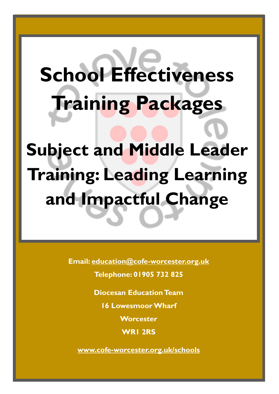# **School Effectiveness Training Packages**

**Subject and Middle Leader Training: Leading Learning and Impactful Change**

**Email: [education@cofe-worcester.org.uk](mailto:education@cofe-worcester.org.uk)**

**Telephone: 01905 732 825**

**Diocesan Education Team**

**16 Lowesmoor Wharf**

**Worcester**

**WR1 2RS**

**[www.cofe-worcester.org.uk/schools](https://www.cofe-worcester.org.uk/schools/)**